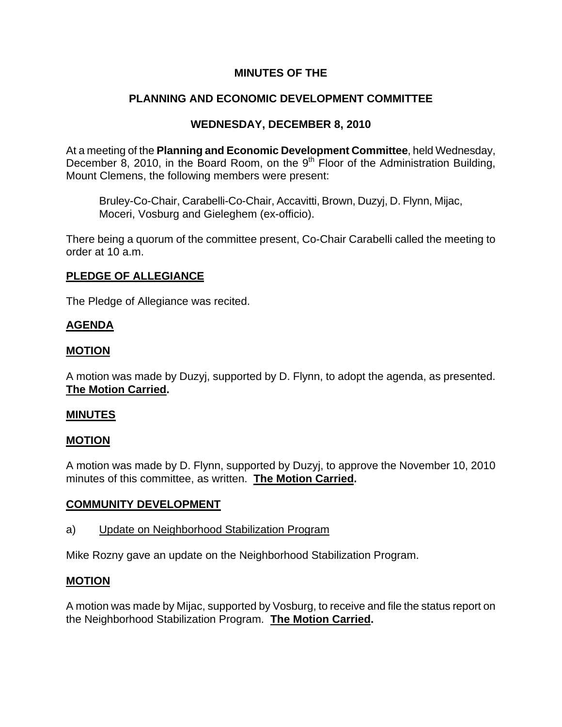# **MINUTES OF THE**

# **PLANNING AND ECONOMIC DEVELOPMENT COMMITTEE**

# **WEDNESDAY, DECEMBER 8, 2010**

At a meeting of the **Planning and Economic Development Committee**, held Wednesday, December 8, 2010, in the Board Room, on the  $9<sup>th</sup>$  Floor of the Administration Building, Mount Clemens, the following members were present:

Bruley-Co-Chair, Carabelli-Co-Chair, Accavitti, Brown, Duzyj, D. Flynn, Mijac, Moceri, Vosburg and Gieleghem (ex-officio).

There being a quorum of the committee present, Co-Chair Carabelli called the meeting to order at 10 a.m.

## **PLEDGE OF ALLEGIANCE**

The Pledge of Allegiance was recited.

## **AGENDA**

### **MOTION**

A motion was made by Duzyj, supported by D. Flynn, to adopt the agenda, as presented. **The Motion Carried.** 

#### **MINUTES**

#### **MOTION**

A motion was made by D. Flynn, supported by Duzyj, to approve the November 10, 2010 minutes of this committee, as written. **The Motion Carried.** 

## **COMMUNITY DEVELOPMENT**

a) Update on Neighborhood Stabilization Program

Mike Rozny gave an update on the Neighborhood Stabilization Program.

#### **MOTION**

A motion was made by Mijac, supported by Vosburg, to receive and file the status report on the Neighborhood Stabilization Program. **The Motion Carried.**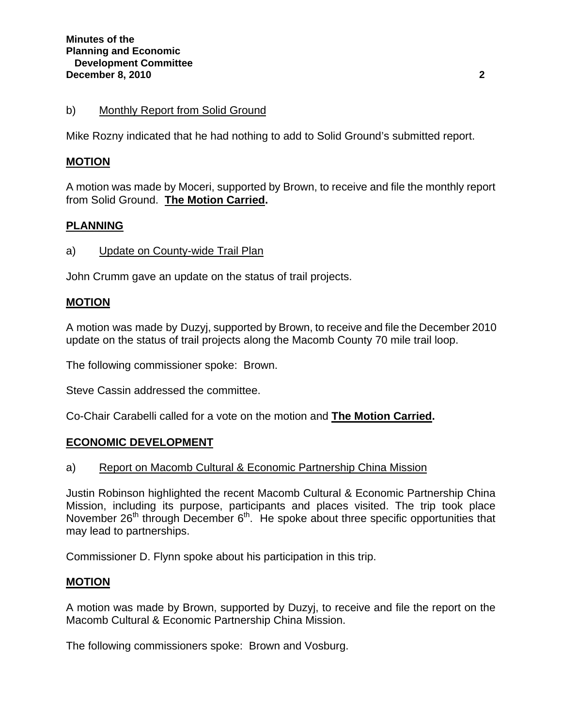### b) Monthly Report from Solid Ground

Mike Rozny indicated that he had nothing to add to Solid Ground's submitted report.

### **MOTION**

A motion was made by Moceri, supported by Brown, to receive and file the monthly report from Solid Ground. **The Motion Carried.** 

### **PLANNING**

a) Update on County-wide Trail Plan

John Crumm gave an update on the status of trail projects.

#### **MOTION**

A motion was made by Duzyj, supported by Brown, to receive and file the December 2010 update on the status of trail projects along the Macomb County 70 mile trail loop.

The following commissioner spoke: Brown.

Steve Cassin addressed the committee.

Co-Chair Carabelli called for a vote on the motion and **The Motion Carried.** 

#### **ECONOMIC DEVELOPMENT**

#### a) Report on Macomb Cultural & Economic Partnership China Mission

Justin Robinson highlighted the recent Macomb Cultural & Economic Partnership China Mission, including its purpose, participants and places visited. The trip took place November  $26<sup>th</sup>$  through December  $6<sup>th</sup>$ . He spoke about three specific opportunities that may lead to partnerships.

Commissioner D. Flynn spoke about his participation in this trip.

#### **MOTION**

A motion was made by Brown, supported by Duzyj, to receive and file the report on the Macomb Cultural & Economic Partnership China Mission.

The following commissioners spoke: Brown and Vosburg.